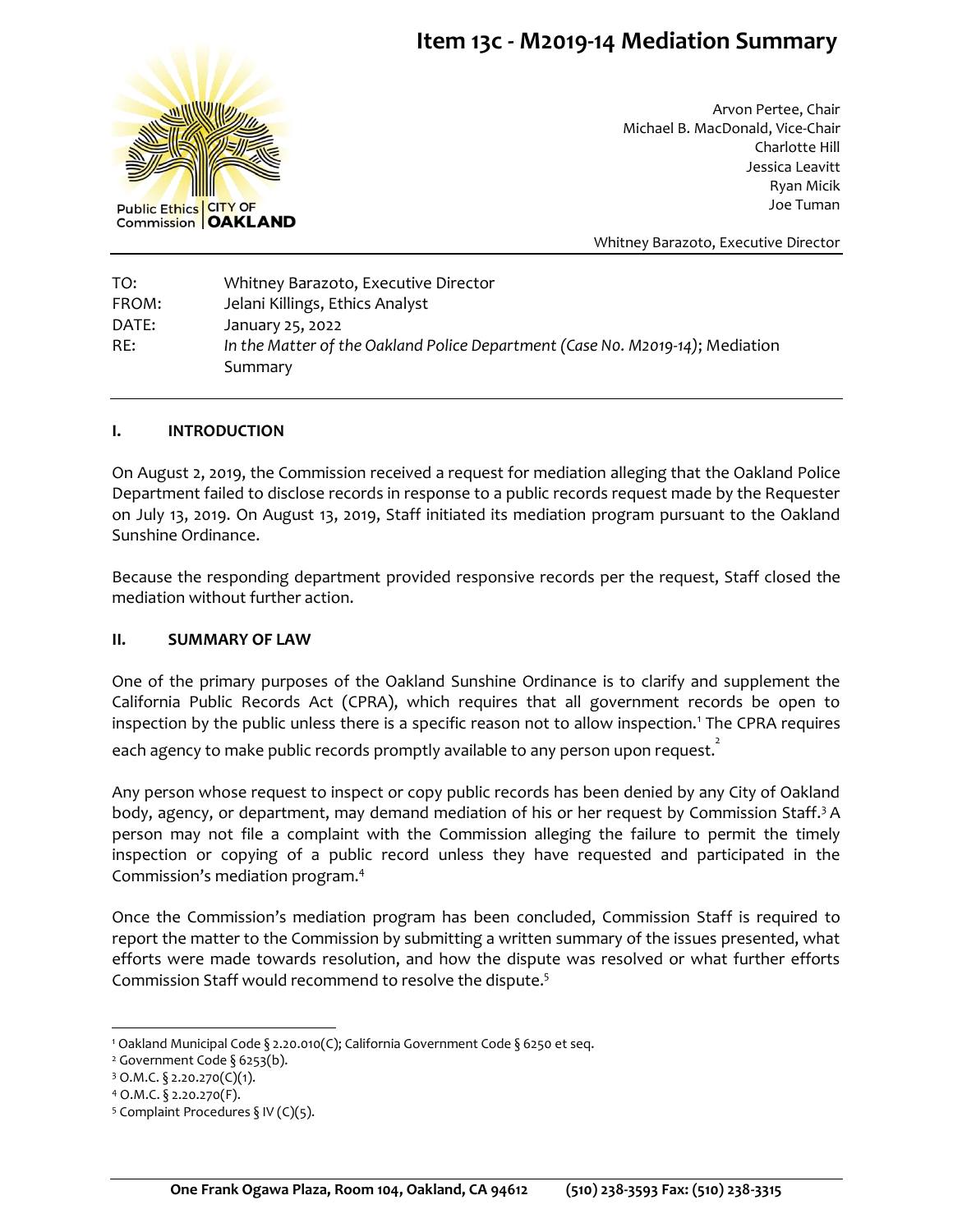# **Item 13c - M2019-14 Mediation Summary**



Arvon Pertee, Chair Michael B. MacDonald, Vice-Chair Charlotte Hill Jessica Leavitt Ryan Micik Joe Tuman

Whitney Barazoto, Executive Director

TO: Whitney Barazoto, Executive Director FROM: Jelani Killings, Ethics Analyst DATE: January 25, 2022 RE: *In the Matter of the Oakland Police Department (Case N0. M2019-14)*; Mediation Summary

### **I. INTRODUCTION**

On August 2, 2019, the Commission received a request for mediation alleging that the Oakland Police Department failed to disclose records in response to a public records request made by the Requester on July 13, 2019. On August 13, 2019, Staff initiated its mediation program pursuant to the Oakland Sunshine Ordinance.

Because the responding department provided responsive records per the request, Staff closed the mediation without further action.

### **II. SUMMARY OF LAW**

One of the primary purposes of the Oakland Sunshine Ordinance is to clarify and supplement the California Public Records Act (CPRA), which requires that all government records be open to inspection by the public unless there is a specific reason not to allow inspection.<sup>1</sup> The CPRA requires each agency to make public records promptly available to any person upon request. $\overline{\phantom{a}^{2}}$ 

Any person whose request to inspect or copy public records has been denied by any City of Oakland body, agency, or department, may demand mediation of his or her request by Commission Staff.<sup>3</sup> A person may not file a complaint with the Commission alleging the failure to permit the timely inspection or copying of a public record unless they have requested and participated in the Commission's mediation program.<sup>4</sup>

Once the Commission's mediation program has been concluded, Commission Staff is required to report the matter to the Commission by submitting a written summary of the issues presented, what efforts were made towards resolution, and how the dispute was resolved or what further efforts Commission Staff would recommend to resolve the dispute.<sup>5</sup>

<sup>1</sup> Oakland Municipal Code § 2.20.010(C); California Government Code § 6250 et seq.

<sup>&</sup>lt;sup>2</sup> Government Code § 6253(b).

 $3$  O.M.C. § 2.20.270(C)(1).

<sup>4</sup> O.M.C. § 2.20.270(F).

<sup>&</sup>lt;sup>5</sup> Complaint Procedures § IV (C)(5).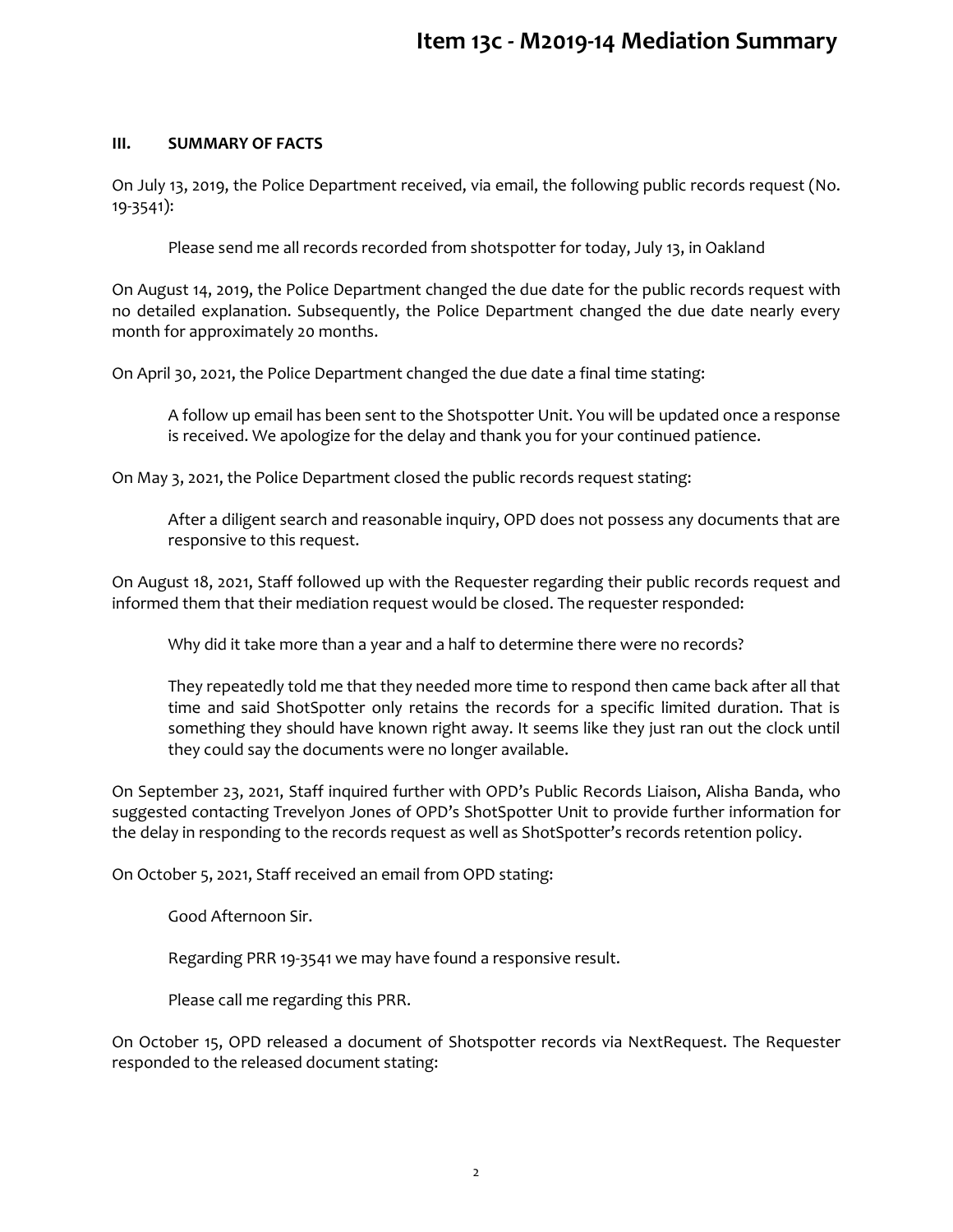# **Item 13c - M2019-14 Mediation Summary**

### **III. SUMMARY OF FACTS**

On July 13, 2019, the Police Department received, via email, the following public records request (No. 19-3541):

Please send me all records recorded from shotspotter for today, July 13, in Oakland

On August 14, 2019, the Police Department changed the due date for the public records request with no detailed explanation. Subsequently, the Police Department changed the due date nearly every month for approximately 20 months.

On April 30, 2021, the Police Department changed the due date a final time stating:

A follow up email has been sent to the Shotspotter Unit. You will be updated once a response is received. We apologize for the delay and thank you for your continued patience.

On May 3, 2021, the Police Department closed the public records request stating:

After a diligent search and reasonable inquiry, OPD does not possess any documents that are responsive to this request.

On August 18, 2021, Staff followed up with the Requester regarding their public records request and informed them that their mediation request would be closed. The requester responded:

Why did it take more than a year and a half to determine there were no records?

They repeatedly told me that they needed more time to respond then came back after all that time and said ShotSpotter only retains the records for a specific limited duration. That is something they should have known right away. It seems like they just ran out the clock until they could say the documents were no longer available.

On September 23, 2021, Staff inquired further with OPD's Public Records Liaison, Alisha Banda, who suggested contacting Trevelyon Jones of OPD's ShotSpotter Unit to provide further information for the delay in responding to the records request as well as ShotSpotter's records retention policy.

On October 5, 2021, Staff received an email from OPD stating:

Good Afternoon Sir.

Regarding PRR 19-3541 we may have found a responsive result.

Please call me regarding this PRR.

On October 15, OPD released a document of Shotspotter records via NextRequest. The Requester responded to the released document stating: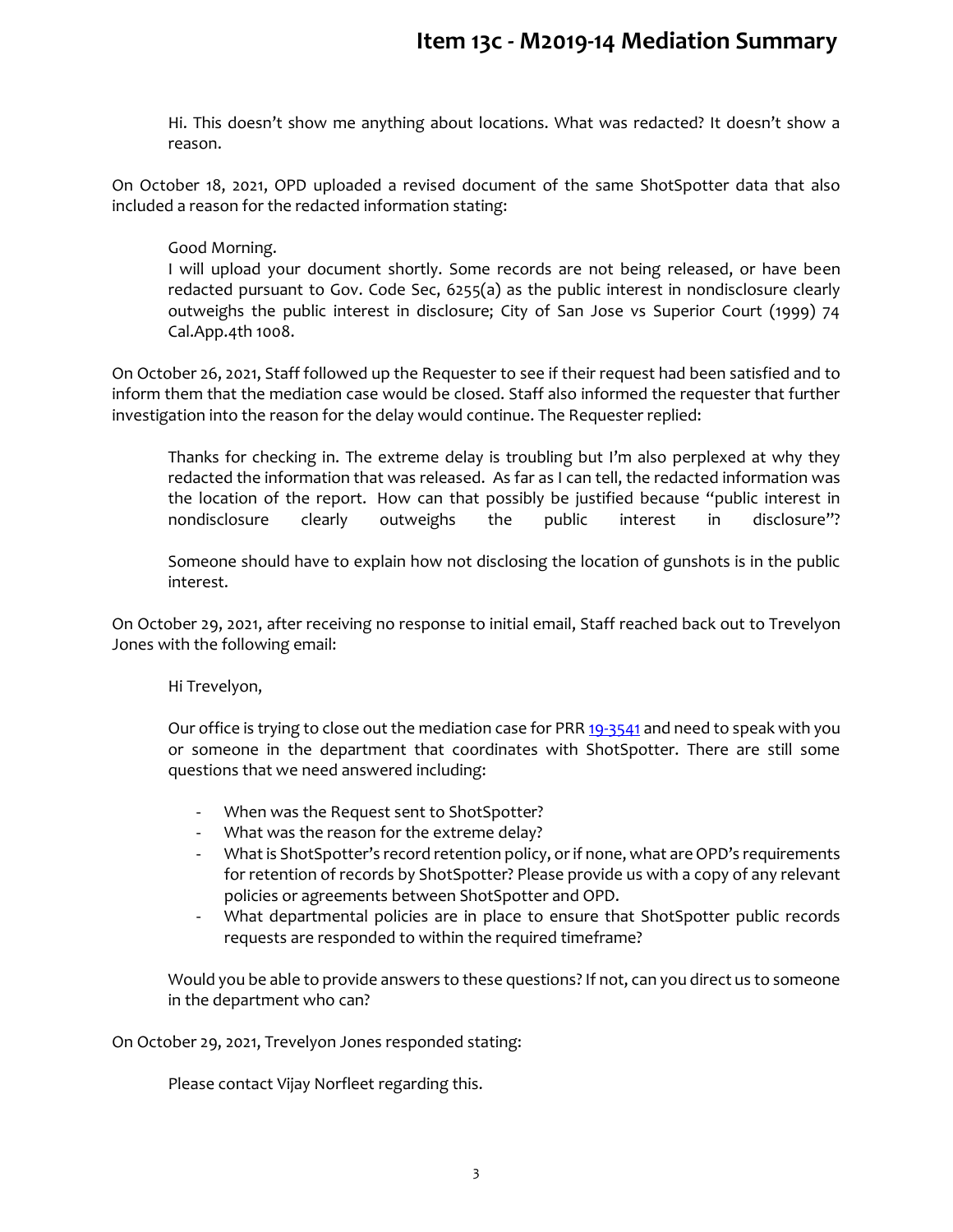Hi. This doesn't show me anything about locations. What was redacted? It doesn't show a reason.

On October 18, 2021, OPD uploaded a revised document of the same ShotSpotter data that also included a reason for the redacted information stating:

## Good Morning.

I will upload your document shortly. Some records are not being released, or have been redacted pursuant to Gov. Code Sec, 6255(a) as the public interest in nondisclosure clearly outweighs the public interest in disclosure; City of San Jose vs Superior Court (1999) 74 Cal.App.4th 1008.

On October 26, 2021, Staff followed up the Requester to see if their request had been satisfied and to inform them that the mediation case would be closed. Staff also informed the requester that further investigation into the reason for the delay would continue. The Requester replied:

Thanks for checking in. The extreme delay is troubling but I'm also perplexed at why they redacted the information that was released. As far as I can tell, the redacted information was the location of the report. How can that possibly be justified because "public interest in nondisclosure clearly outweighs the public interest in disclosure"?

Someone should have to explain how not disclosing the location of gunshots is in the public interest.

On October 29, 2021, after receiving no response to initial email, Staff reached back out to Trevelyon Jones with the following email:

Hi Trevelyon,

Our office is trying to close out the mediation case for PR[R 19-3541](https://oaklandca.nextrequest.com/requests/19-3541) and need to speak with you or someone in the department that coordinates with ShotSpotter. There are still some questions that we need answered including:

- When was the Request sent to ShotSpotter?
- What was the reason for the extreme delay?
- What is ShotSpotter's record retention policy, or if none, what are OPD's requirements for retention of records by ShotSpotter? Please provide us with a copy of any relevant policies or agreements between ShotSpotter and OPD.
- What departmental policies are in place to ensure that ShotSpotter public records requests are responded to within the required timeframe?

Would you be able to provide answers to these questions? If not, can you direct us to someone in the department who can?

On October 29, 2021, Trevelyon Jones responded stating:

Please contact Vijay Norfleet regarding this.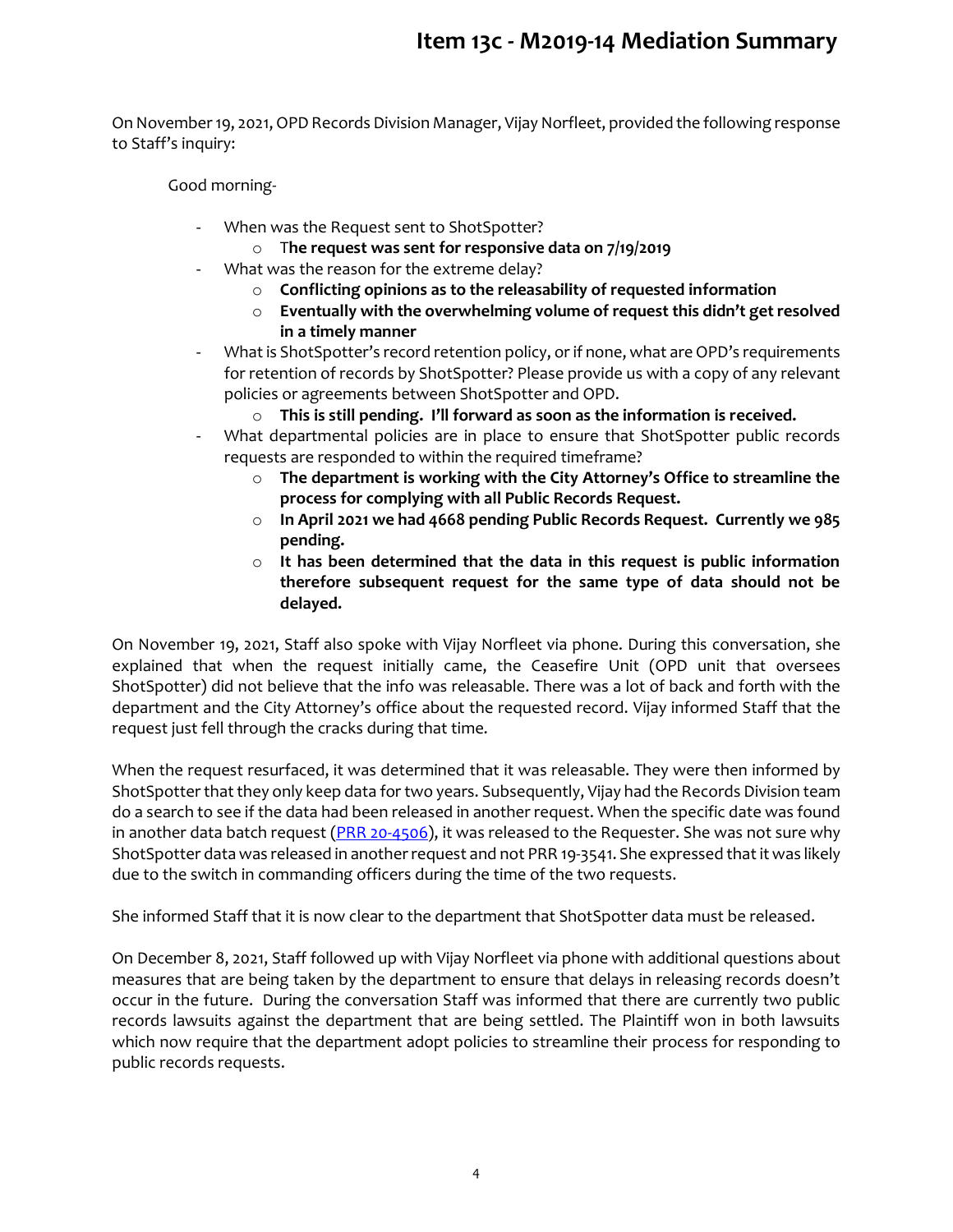On November 19, 2021, OPD Records Division Manager, Vijay Norfleet, provided the following response to Staff's inquiry:

Good morning-

- When was the Request sent to ShotSpotter?
	- o T**he request was sent for responsive data on 7/19/2019**
- What was the reason for the extreme delay?
	- o **Conflicting opinions as to the releasability of requested information**
	- o **Eventually with the overwhelming volume of request this didn't get resolved in a timely manner**
- What is ShotSpotter's record retention policy, or if none, what are OPD's requirements for retention of records by ShotSpotter? Please provide us with a copy of any relevant policies or agreements between ShotSpotter and OPD.
	- o **This is still pending. I'll forward as soon as the information is received.**
- What departmental policies are in place to ensure that ShotSpotter public records requests are responded to within the required timeframe?
	- o **The department is working with the City Attorney's Office to streamline the process for complying with all Public Records Request.**
	- o **In April 2021 we had 4668 pending Public Records Request. Currently we 985 pending.**
	- o **It has been determined that the data in this request is public information therefore subsequent request for the same type of data should not be delayed.**

On November 19, 2021, Staff also spoke with Vijay Norfleet via phone. During this conversation, she explained that when the request initially came, the Ceasefire Unit (OPD unit that oversees ShotSpotter) did not believe that the info was releasable. There was a lot of back and forth with the department and the City Attorney's office about the requested record. Vijay informed Staff that the request just fell through the cracks during that time.

When the request resurfaced, it was determined that it was releasable. They were then informed by ShotSpotter that they only keep data for two years. Subsequently, Vijay had the Records Division team do a search to see if the data had been released in another request. When the specific date was found in another data batch request  $(PRR 20-4506)$ , it was released to the Requester. She was not sure why ShotSpotter data was released in another request and not PRR 19-3541. She expressed that it was likely due to the switch in commanding officers during the time of the two requests.

She informed Staff that it is now clear to the department that ShotSpotter data must be released.

On December 8, 2021, Staff followed up with Vijay Norfleet via phone with additional questions about measures that are being taken by the department to ensure that delays in releasing records doesn't occur in the future. During the conversation Staff was informed that there are currently two public records lawsuits against the department that are being settled. The Plaintiff won in both lawsuits which now require that the department adopt policies to streamline their process for responding to public records requests.